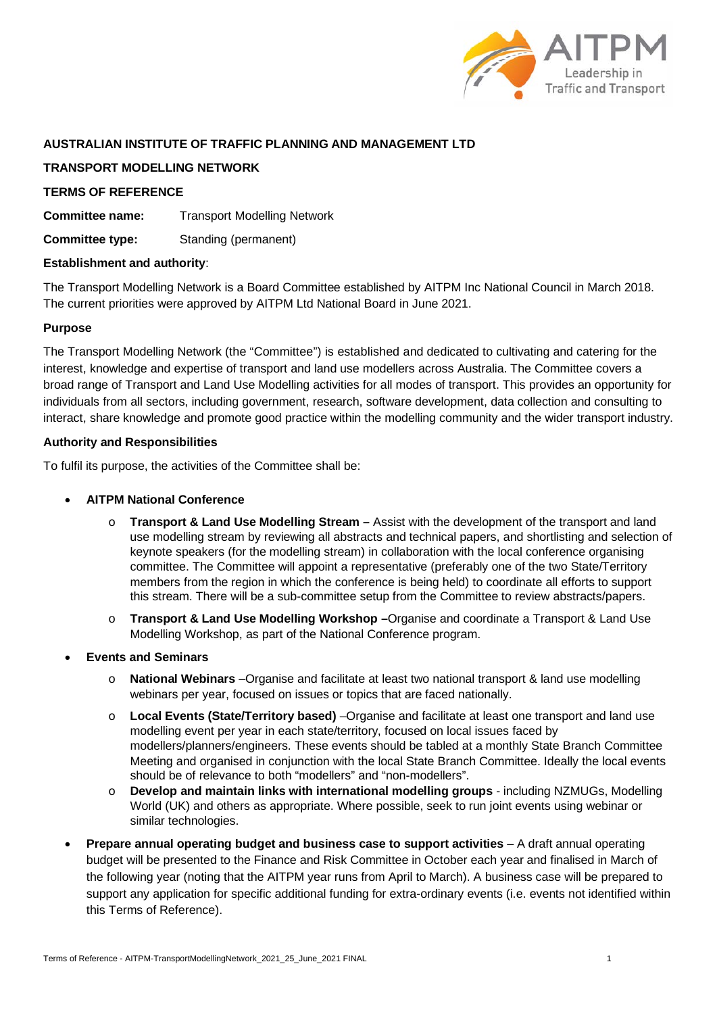

# **AUSTRALIAN INSTITUTE OF TRAFFIC PLANNING AND MANAGEMENT LTD**

# **TRANSPORT MODELLING NETWORK**

# **TERMS OF REFERENCE**

**Committee name:** Transport Modelling Network

**Committee type:** Standing (permanent)

## **Establishment and authority**:

The Transport Modelling Network is a Board Committee established by AITPM Inc National Council in March 2018. The current priorities were approved by AITPM Ltd National Board in June 2021.

## **Purpose**

The Transport Modelling Network (the "Committee") is established and dedicated to cultivating and catering for the interest, knowledge and expertise of transport and land use modellers across Australia. The Committee covers a broad range of Transport and Land Use Modelling activities for all modes of transport. This provides an opportunity for individuals from all sectors, including government, research, software development, data collection and consulting to interact, share knowledge and promote good practice within the modelling community and the wider transport industry.

### **Authority and Responsibilities**

To fulfil its purpose, the activities of the Committee shall be:

- **AITPM National Conference**
	- o **Transport & Land Use Modelling Stream –** Assist with the development of the transport and land use modelling stream by reviewing all abstracts and technical papers, and shortlisting and selection of keynote speakers (for the modelling stream) in collaboration with the local conference organising committee. The Committee will appoint a representative (preferably one of the two State/Territory members from the region in which the conference is being held) to coordinate all efforts to support this stream. There will be a sub-committee setup from the Committee to review abstracts/papers.
	- o **Transport & Land Use Modelling Workshop –**Organise and coordinate a Transport & Land Use Modelling Workshop, as part of the National Conference program.
- **Events and Seminars**
	- **National Webinars** –Organise and facilitate at least two national transport & land use modelling webinars per year, focused on issues or topics that are faced nationally.
	- o **Local Events (State/Territory based)** –Organise and facilitate at least one transport and land use modelling event per year in each state/territory, focused on local issues faced by modellers/planners/engineers. These events should be tabled at a monthly State Branch Committee Meeting and organised in conjunction with the local State Branch Committee. Ideally the local events should be of relevance to both "modellers" and "non-modellers".
	- o **Develop and maintain links with international modelling groups** including NZMUGs, Modelling World (UK) and others as appropriate. Where possible, seek to run joint events using webinar or similar technologies.
- **Prepare annual operating budget and business case to support activities** A draft annual operating budget will be presented to the Finance and Risk Committee in October each year and finalised in March of the following year (noting that the AITPM year runs from April to March). A business case will be prepared to support any application for specific additional funding for extra-ordinary events (i.e. events not identified within this Terms of Reference).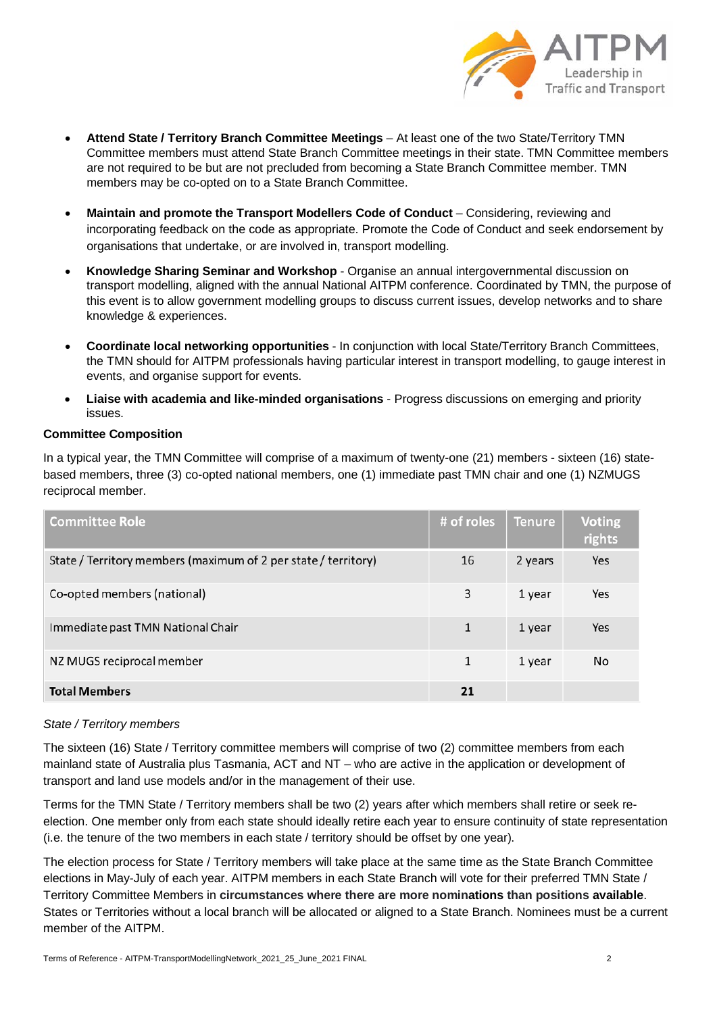

- **Attend State / Territory Branch Committee Meetings** At least one of the two State/Territory TMN Committee members must attend State Branch Committee meetings in their state. TMN Committee members are not required to be but are not precluded from becoming a State Branch Committee member. TMN members may be co-opted on to a State Branch Committee.
- **Maintain and promote the Transport Modellers Code of Conduct**  Considering, reviewing and incorporating feedback on the code as appropriate. Promote the Code of Conduct and seek endorsement by organisations that undertake, or are involved in, transport modelling.
- **Knowledge Sharing Seminar and Workshop**  Organise an annual intergovernmental discussion on transport modelling, aligned with the annual National AITPM conference. Coordinated by TMN, the purpose of this event is to allow government modelling groups to discuss current issues, develop networks and to share knowledge & experiences.
- **Coordinate local networking opportunities** In conjunction with local State/Territory Branch Committees, the TMN should for AITPM professionals having particular interest in transport modelling, to gauge interest in events, and organise support for events.
- **Liaise with academia and like-minded organisations** Progress discussions on emerging and priority issues.

## **Committee Composition**

In a typical year, the TMN Committee will comprise of a maximum of twenty-one (21) members - sixteen (16) statebased members, three (3) co-opted national members, one (1) immediate past TMN chair and one (1) NZMUGS reciprocal member.

| <b>Committee Role</b>                                          | # of roles | <b>Tenure</b> | <b>Voting</b><br>rights |
|----------------------------------------------------------------|------------|---------------|-------------------------|
| State / Territory members (maximum of 2 per state / territory) | 16         | 2 years       | Yes                     |
| Co-opted members (national)                                    | 3          | 1 year        | Yes                     |
| Immediate past TMN National Chair                              | 1          | 1 year        | Yes                     |
| NZ MUGS reciprocal member                                      | 1          | 1 year        | No                      |
| <b>Total Members</b>                                           | 21         |               |                         |

## *State / Territory members*

The sixteen (16) State / Territory committee members will comprise of two (2) committee members from each mainland state of Australia plus Tasmania, ACT and NT – who are active in the application or development of transport and land use models and/or in the management of their use.

Terms for the TMN State / Territory members shall be two (2) years after which members shall retire or seek reelection. One member only from each state should ideally retire each year to ensure continuity of state representation (i.e. the tenure of the two members in each state / territory should be offset by one year).

The election process for State / Territory members will take place at the same time as the State Branch Committee elections in May-July of each year. AITPM members in each State Branch will vote for their preferred TMN State / Territory Committee Members in **circumstances where there are more nominations than positions available**. States or Territories without a local branch will be allocated or aligned to a State Branch. Nominees must be a current member of the AITPM.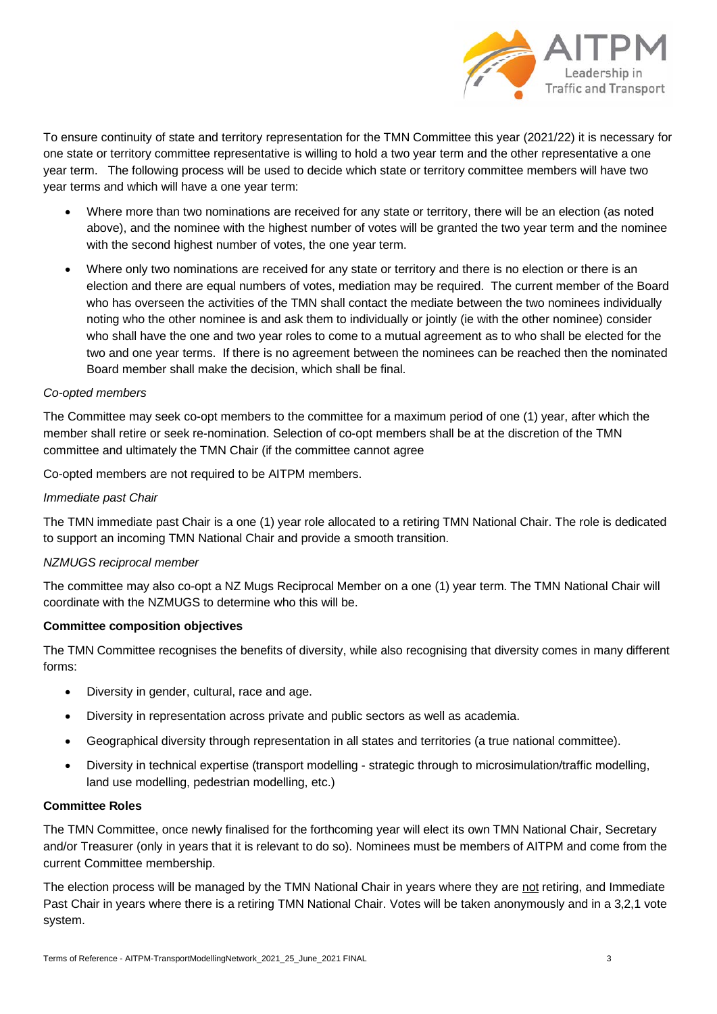

To ensure continuity of state and territory representation for the TMN Committee this year (2021/22) it is necessary for one state or territory committee representative is willing to hold a two year term and the other representative a one year term. The following process will be used to decide which state or territory committee members will have two year terms and which will have a one year term:

- Where more than two nominations are received for any state or territory, there will be an election (as noted above), and the nominee with the highest number of votes will be granted the two year term and the nominee with the second highest number of votes, the one year term.
- Where only two nominations are received for any state or territory and there is no election or there is an election and there are equal numbers of votes, mediation may be required. The current member of the Board who has overseen the activities of the TMN shall contact the mediate between the two nominees individually noting who the other nominee is and ask them to individually or jointly (ie with the other nominee) consider who shall have the one and two year roles to come to a mutual agreement as to who shall be elected for the two and one year terms. If there is no agreement between the nominees can be reached then the nominated Board member shall make the decision, which shall be final.

# *Co-opted members*

The Committee may seek co-opt members to the committee for a maximum period of one (1) year, after which the member shall retire or seek re-nomination. Selection of co-opt members shall be at the discretion of the TMN committee and ultimately the TMN Chair (if the committee cannot agree

Co-opted members are not required to be AITPM members.

### *Immediate past Chair*

The TMN immediate past Chair is a one (1) year role allocated to a retiring TMN National Chair. The role is dedicated to support an incoming TMN National Chair and provide a smooth transition.

#### *NZMUGS reciprocal member*

The committee may also co-opt a NZ Mugs Reciprocal Member on a one (1) year term. The TMN National Chair will coordinate with the NZMUGS to determine who this will be.

#### **Committee composition objectives**

The TMN Committee recognises the benefits of diversity, while also recognising that diversity comes in many different forms:

- Diversity in gender, cultural, race and age.
- Diversity in representation across private and public sectors as well as academia.
- Geographical diversity through representation in all states and territories (a true national committee).
- Diversity in technical expertise (transport modelling strategic through to microsimulation/traffic modelling, land use modelling, pedestrian modelling, etc.)

#### **Committee Roles**

The TMN Committee, once newly finalised for the forthcoming year will elect its own TMN National Chair, Secretary and/or Treasurer (only in years that it is relevant to do so). Nominees must be members of AITPM and come from the current Committee membership.

The election process will be managed by the TMN National Chair in years where they are not retiring, and Immediate Past Chair in years where there is a retiring TMN National Chair. Votes will be taken anonymously and in a 3,2,1 vote system.